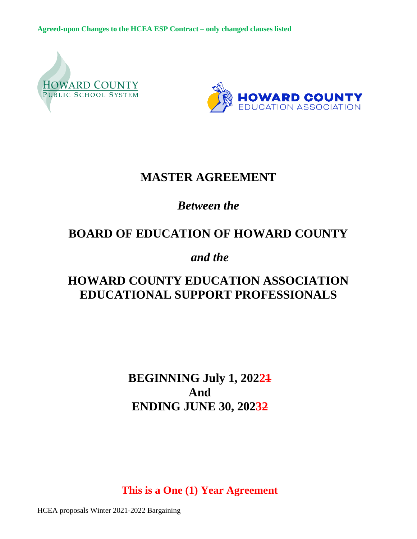



# **MASTER AGREEMENT**

## *Between the*

# **BOARD OF EDUCATION OF HOWARD COUNTY**

*and the*

# **HOWARD COUNTY EDUCATION ASSOCIATION EDUCATIONAL SUPPORT PROFESSIONALS**

**BEGINNING July 1, 20221 And ENDING JUNE 30, 20232**

**This is a One (1) Year Agreement**

HCEA proposals Winter 2021-2022 Bargaining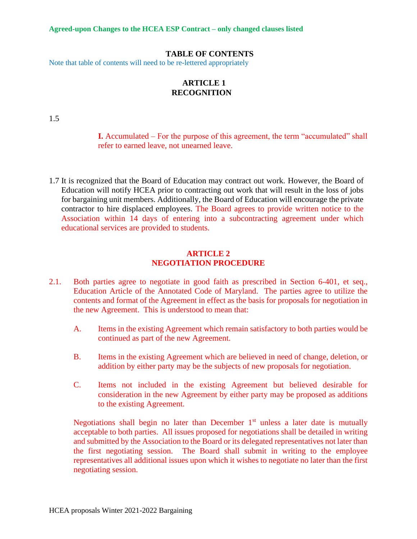#### **TABLE OF CONTENTS**

Note that table of contents will need to be re-lettered appropriately

## **ARTICLE 1 RECOGNITION**

1.5

**I.** Accumulated – For the purpose of this agreement, the term "accumulated" shall refer to earned leave, not unearned leave.

1.7 It is recognized that the Board of Education may contract out work. However, the Board of Education will notify HCEA prior to contracting out work that will result in the loss of jobs for bargaining unit members. Additionally, the Board of Education will encourage the private contractor to hire displaced employees. The Board agrees to provide written notice to the Association within 14 days of entering into a subcontracting agreement under which educational services are provided to students.

#### **ARTICLE 2 NEGOTIATION PROCEDURE**

- 2.1. Both parties agree to negotiate in good faith as prescribed in Section 6-401, et seq., Education Article of the Annotated Code of Maryland. The parties agree to utilize the contents and format of the Agreement in effect as the basis for proposals for negotiation in the new Agreement. This is understood to mean that:
	- A. Items in the existing Agreement which remain satisfactory to both parties would be continued as part of the new Agreement.
	- B. Items in the existing Agreement which are believed in need of change, deletion, or addition by either party may be the subjects of new proposals for negotiation.
	- C. Items not included in the existing Agreement but believed desirable for consideration in the new Agreement by either party may be proposed as additions to the existing Agreement.

Negotiations shall begin no later than December  $1<sup>st</sup>$  unless a later date is mutually acceptable to both parties. All issues proposed for negotiations shall be detailed in writing and submitted by the Association to the Board or its delegated representatives not later than the first negotiating session. The Board shall submit in writing to the employee representatives all additional issues upon which it wishes to negotiate no later than the first negotiating session.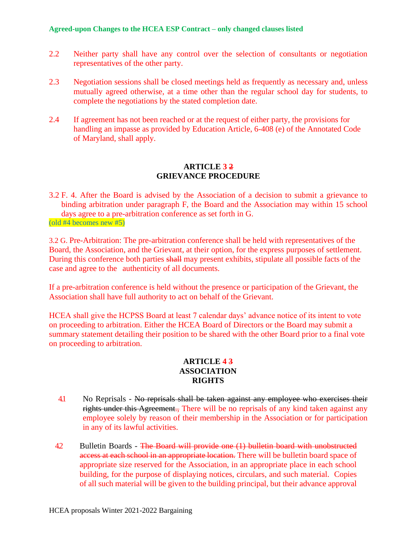- 2.2 Neither party shall have any control over the selection of consultants or negotiation representatives of the other party.
- 2.3 Negotiation sessions shall be closed meetings held as frequently as necessary and, unless mutually agreed otherwise, at a time other than the regular school day for students, to complete the negotiations by the stated completion date.
- 2.4 If agreement has not been reached or at the request of either party, the provisions for handling an impasse as provided by Education Article, 6-408 (e) of the Annotated Code of Maryland, shall apply.

### **ARTICLE 3 2 GRIEVANCE PROCEDURE**

3.2 F. 4. After the Board is advised by the Association of a decision to submit a grievance to binding arbitration under paragraph F, the Board and the Association may within 15 school days agree to a pre-arbitration conference as set forth in G. (old #4 becomes new #5)

3.2 G. Pre-Arbitration: The pre-arbitration conference shall be held with representatives of the Board, the Association, and the Grievant, at their option, for the express purposes of settlement. During this conference both parties shall may present exhibits, stipulate all possible facts of the case and agree to the authenticity of all documents.

If a pre-arbitration conference is held without the presence or participation of the Grievant, the Association shall have full authority to act on behalf of the Grievant.

HCEA shall give the HCPSS Board at least 7 calendar days' advance notice of its intent to vote on proceeding to arbitration. Either the HCEA Board of Directors or the Board may submit a summary statement detailing their position to be shared with the other Board prior to a final vote on proceeding to arbitration.

## **ARTICLE 4 3 ASSOCIATION RIGHTS**

- 4.1 No Reprisals No reprisals shall be taken against any employee who exercises their rights under this Agreement., There will be no reprisals of any kind taken against any employee solely by reason of their membership in the Association or for participation in any of its lawful activities.
- 4.2 Bulletin Boards The Board will provide one (1) bulletin board with unobstructed access at each school in an appropriate location. There will be bulletin board space of appropriate size reserved for the Association, in an appropriate place in each school building, for the purpose of displaying notices, circulars, and such material. Copies of all such material will be given to the building principal, but their advance approval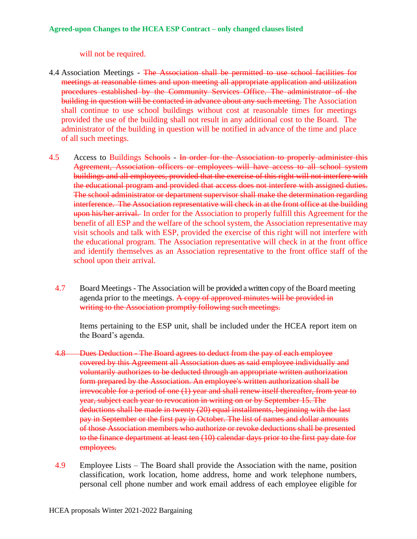will not be required.

- 4.4 Association Meetings The Association shall be permitted to use school facilities for meetings at reasonable times and upon meeting all appropriate application and utilization procedures established by the Community Services Office. The administrator of the building in question will be contacted in advance about any such meeting. The Association shall continue to use school buildings without cost at reasonable times for meetings provided the use of the building shall not result in any additional cost to the Board. The administrator of the building in question will be notified in advance of the time and place of all such meetings.
- 4.5 Access to Buildings Schools In order for the Association to properly administer this Agreement, Association officers or employees will have access to all school system buildings and all employees, provided that the exercise of this right will not interfere with the educational program and provided that access does not interfere with assigned duties. The school administrator or department supervisor shall make the determination regarding interference. The Association representative will check in at the front office at the building upon his/her arrival. In order for the Association to properly fulfill this Agreement for the benefit of all ESP and the welfare of the school system, the Association representative may visit schools and talk with ESP, provided the exercise of this right will not interfere with the educational program. The Association representative will check in at the front office and identify themselves as an Association representative to the front office staff of the school upon their arrival.
	- 4.7 Board Meetings The Association will be provided a written copy of the Board meeting agenda prior to the meetings. A copy of approved minutes will be provided in writing to the Association promptly following such meetings.

Items pertaining to the ESP unit, shall be included under the HCEA report item on the Board's agenda.

- 4.8 Dues Deduction The Board agrees to deduct from the pay of each employee covered by this Agreement all Association dues as said employee individually and voluntarily authorizes to be deducted through an appropriate written authorization form prepared by the Association. An employee's written authorization shall be irrevocable for a period of one (1) year and shall renew itself thereafter, from year to year, subject each year to revocation in writing on or by September 15. The deductions shall be made in twenty (20) equal installments, beginning with the last pay in September or the first pay in October. The list of names and dollar amounts of those Association members who authorize or revoke deductions shall be presented to the finance department at least ten (10) calendar days prior to the first pay date for employees.
- 4.9 Employee Lists The Board shall provide the Association with the name, position classification, work location, home address, home and work telephone numbers, personal cell phone number and work email address of each employee eligible for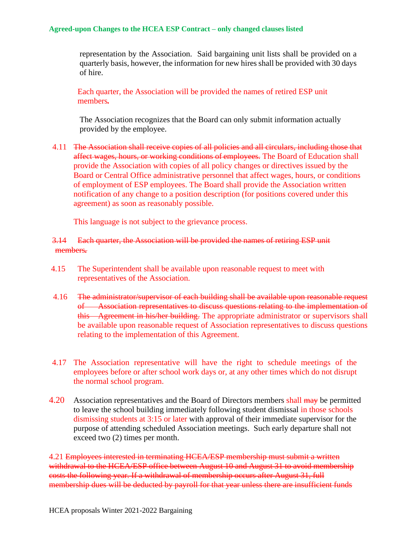representation by the Association. Said bargaining unit lists shall be provided on a quarterly basis, however, the information for new hires shall be provided with 30 days of hire.

Each quarter, the Association will be provided the names of retired ESP unit members*.*

The Association recognizes that the Board can only submit information actually provided by the employee.

4.11 The Association shall receive copies of all policies and all circulars, including those that affect wages, hours, or working conditions of employees. The Board of Education shall provide the Association with copies of all policy changes or directives issued by the Board or Central Office administrative personnel that affect wages, hours, or conditions of employment of ESP employees. The Board shall provide the Association written notification of any change to a position description (for positions covered under this agreement) as soon as reasonably possible.

This language is not subject to the grievance process.

#### 3.14 Each quarter, the Association will be provided the names of retiring ESP unit members*.*

- 4.15 The Superintendent shall be available upon reasonable request to meet with representatives of the Association.
- 4.16 The administrator/supervisor of each building shall be available upon reasonable request of Association representatives to discuss questions relating to the implementation of this Agreement in his/her building. The appropriate administrator or supervisors shall be available upon reasonable request of Association representatives to discuss questions relating to the implementation of this Agreement.
- 4.17 The Association representative will have the right to schedule meetings of the employees before or after school work days or, at any other times which do not disrupt the normal school program.
- 4.20 Association representatives and the Board of Directors members shall may be permitted to leave the school building immediately following student dismissal in those schools dismissing students at 3:15 or later with approval of their immediate supervisor for the purpose of attending scheduled Association meetings. Such early departure shall not exceed two (2) times per month.

4.21 Employees interested in terminating HCEA/ESP membership must submit a written withdrawal to the HCEA/ESP office between August 10 and August 31 to avoid membership costs the following year. If a withdrawal of membership occurs after August 31, full membership dues will be deducted by payroll for that year unless there are insufficient funds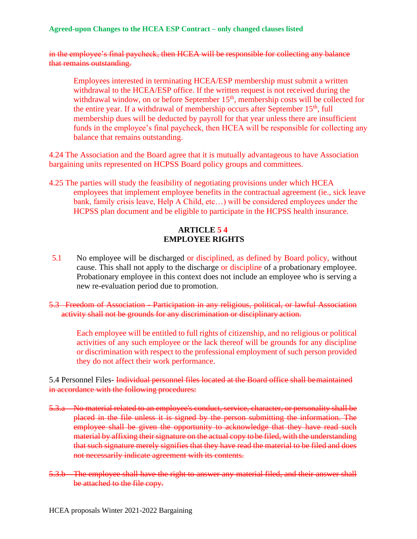in the employee's final paycheck, then HCEA will be responsible for collecting any balance that remains outstanding.

Employees interested in terminating HCEA/ESP membership must submit a written withdrawal to the HCEA/ESP office. If the written request is not received during the withdrawal window, on or before September 15<sup>th</sup>, membership costs will be collected for the entire year. If a withdrawal of membership occurs after September 15<sup>th</sup>, full membership dues will be deducted by payroll for that year unless there are insufficient funds in the employee's final paycheck, then HCEA will be responsible for collecting any balance that remains outstanding.

4.24 The Association and the Board agree that it is mutually advantageous to have Association bargaining units represented on HCPSS Board policy groups and committees.

4.25 The parties will study the feasibility of negotiating provisions under which HCEA employees that implement employee benefits in the contractual agreement (ie., sick leave bank, family crisis leave, Help A Child, etc…) will be considered employees under the HCPSS plan document and be eligible to participate in the HCPSS health insurance.

## **ARTICLE 5 4 EMPLOYEE RIGHTS**

- 5.1 No employee will be discharged or disciplined, as defined by Board policy, without cause. This shall not apply to the discharge or discipline of a probationary employee. Probationary employee in this context does not include an employee who is serving a new re-evaluation period due to promotion.
- 5.3 Freedom of Association Participation in any religious, political, or lawful Association activity shall not be grounds for any discrimination or disciplinary action.

Each employee will be entitled to full rights of citizenship, and no religious or political activities of any such employee or the lack thereof will be grounds for any discipline or discrimination with respect to the professional employment of such person provided they do not affect their work performance.

5.4 Personnel Files- Individual personnel files located at the Board office shall bemaintained in accordance with the following procedures:

- 5.3.a No material related to an employee's conduct, service, character, or personality shall be placed in the file unless it is signed by the person submitting the information. The employee shall be given the opportunity to acknowledge that they have read such material by affixing their signature on the actual copy tobe filed, with the understanding that such signature merely signifies that they have read the material to be filed and does not necessarily indicate agreement with its contents.
- 5.3.b The employee shall have the right to answer any material filed, and their answer shall be attached to the file copy.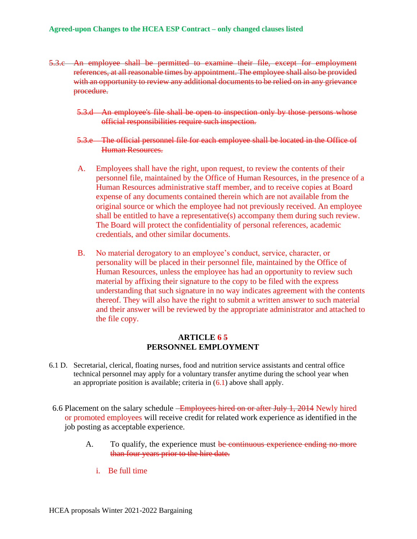- 5.3.c An employee shall be permitted to examine their file, except for employment references, at all reasonable times by appointment. The employee shall also be provided with an opportunity to review any additional documents to be relied on in any grievance procedure.
	- 5.3.d An employee's file shall be open to inspection only by those persons whose official responsibilities require such inspection.
	- 5.3.e The official personnel file for each employee shall be located in the Office of Human Resources.
	- A. Employees shall have the right, upon request, to review the contents of their personnel file, maintained by the Office of Human Resources, in the presence of a Human Resources administrative staff member, and to receive copies at Board expense of any documents contained therein which are not available from the original source or which the employee had not previously received. An employee shall be entitled to have a representative(s) accompany them during such review. The Board will protect the confidentiality of personal references, academic credentials, and other similar documents.
	- B. No material derogatory to an employee's conduct, service, character, or personality will be placed in their personnel file, maintained by the Office of Human Resources, unless the employee has had an opportunity to review such material by affixing their signature to the copy to be filed with the express understanding that such signature in no way indicates agreement with the contents thereof. They will also have the right to submit a written answer to such material and their answer will be reviewed by the appropriate administrator and attached to the file copy.

#### **ARTICLE 6 5 PERSONNEL EMPLOYMENT**

- 6.1 D. Secretarial, clerical, floating nurses, food and nutrition service assistants and central office technical personnel may apply for a voluntary transfer anytime during the school year when an appropriate position is available; criteria in  $(6.1)$  above shall apply.
- 6.6 Placement on the salary schedule –Employees hired on or after July 1, 2014 Newly hired or promoted employees will receive credit for related work experience as identified in the job posting as acceptable experience.
	- A. To qualify, the experience must be continuous experience ending no more than four years prior to the hire date.
		- i. Be full time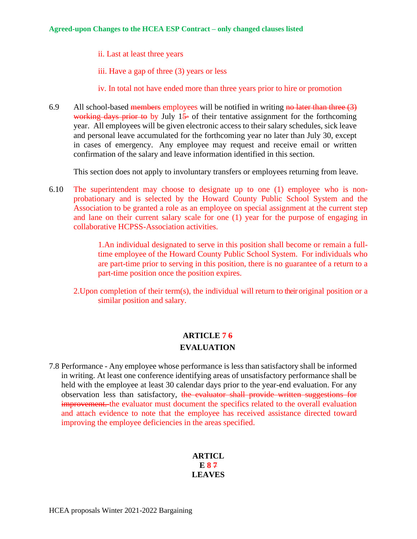ii. Last at least three years

iii. Have a gap of three (3) years or less

- iv. In total not have ended more than three years prior to hire or promotion
- 6.9 All school-based members employees will be notified in writing no later than three  $(3)$ working days prior to by July  $15$  of their tentative assignment for the forthcoming year. All employees will be given electronic access to their salary schedules, sick leave and personal leave accumulated for the forthcoming year no later than July 30, except in cases of emergency. Any employee may request and receive email or written confirmation of the salary and leave information identified in this section.

This section does not apply to involuntary transfers or employees returning from leave.

6.10 The superintendent may choose to designate up to one (1) employee who is nonprobationary and is selected by the Howard County Public School System and the Association to be granted a role as an employee on special assignment at the current step and lane on their current salary scale for one (1) year for the purpose of engaging in collaborative HCPSS-Association activities.

> 1.An individual designated to serve in this position shall become or remain a fulltime employee of the Howard County Public School System. For individuals who are part-time prior to serving in this position, there is no guarantee of a return to a part-time position once the position expires.

2. Upon completion of their term(s), the individual will return to their original position or a similar position and salary.

## **ARTICLE 7 6 EVALUATION**

7.8 Performance - Any employee whose performance is less than satisfactory shall be informed in writing. At least one conference identifying areas of unsatisfactory performance shall be held with the employee at least 30 calendar days prior to the year-end evaluation. For any observation less than satisfactory, the evaluator shall provide written suggestions for improvement. the evaluator must document the specifics related to the overall evaluation and attach evidence to note that the employee has received assistance directed toward improving the employee deficiencies in the areas specified.

### **ARTICL E 8 7 LEAVES**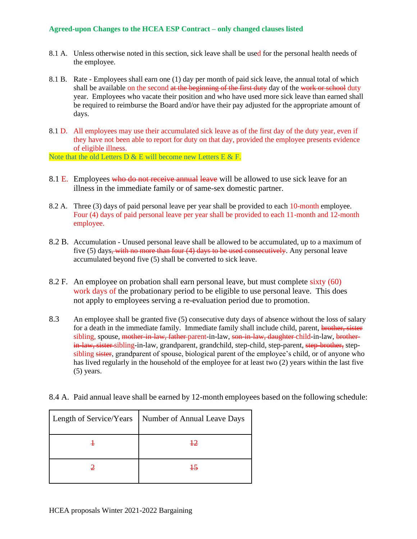- 8.1 A. Unless otherwise noted in this section, sick leave shall be used for the personal health needs of the employee.
- 8.1 B. Rate Employees shall earn one (1) day per month of paid sick leave, the annual total of which shall be available on the second at the beginning of the first duty day of the work or school duty year. Employees who vacate their position and who have used more sick leave than earned shall be required to reimburse the Board and/or have their pay adjusted for the appropriate amount of days.
- 8.1 D. All employees may use their accumulated sick leave as of the first day of the duty year, even if they have not been able to report for duty on that day, provided the employee presents evidence of eligible illness.

Note that the old Letters  $D & E$  will become new Letters  $E & E$ .

- 8.1 E. Employees who do not receive annual leave will be allowed to use sick leave for an illness in the immediate family or of same-sex domestic partner.
- 8.2 A. Three (3) days of paid personal leave per year shall be provided to each 10-month employee. Four (4) days of paid personal leave per year shall be provided to each 11-month and 12-month employee.
- 8.2 B. Accumulation Unused personal leave shall be allowed to be accumulated, up to a maximum of five (5) days<del>, with no more than four (4) days to be used consecutively</del>. Any personal leave accumulated beyond five (5) shall be converted to sick leave.
- 8.2 F. An employee on probation shall earn personal leave, but must complete sixty (60) work days of the probationary period to be eligible to use personal leave. This does not apply to employees serving a re-evaluation period due to promotion.
- 8.3 An employee shall be granted five (5) consecutive duty days of absence without the loss of salary for a death in the immediate family. Immediate family shall include child, parent, brother, sister sibling, spouse, mother-in-law, father-parent-in-law, son-in-law, daughter-child-in-law, brotherin-law, sister-sibling-in-law, grandparent, grandchild, step-child, step-parent, step-brother, stepsibling sister, grandparent of spouse, biological parent of the employee's child, or of anyone who has lived regularly in the household of the employee for at least two (2) years within the last five (5) years.
- 8.4 A. Paid annual leave shall be earned by 12-month employees based on the following schedule:

| Length of Service/Years   Number of Annual Leave Days |
|-------------------------------------------------------|
| 42                                                    |
| $+5$                                                  |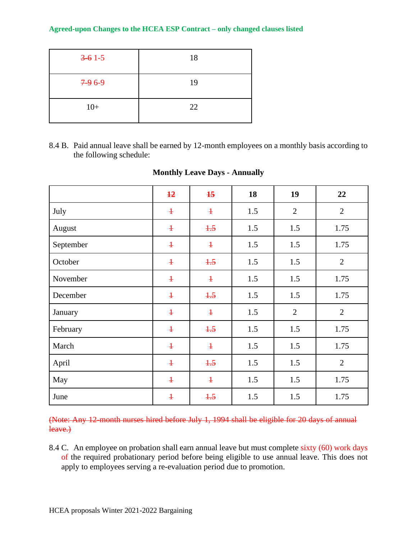| $3 - 61 - 5$ | 18 |
|--------------|----|
| $7-96-9$     | 19 |
| $10+$        | 22 |

8.4 B. Paid annual leave shall be earned by 12-month employees on a monthly basis according to the following schedule:

|           | $\overline{12}$ | $\overline{15}$ | 18  | 19             | 22             |
|-----------|-----------------|-----------------|-----|----------------|----------------|
| July      | $\ddagger$      | $\ddagger$      | 1.5 | $\mathbf{2}$   | $\overline{2}$ |
| August    | $\ddagger$      | $+5$            | 1.5 | 1.5            | 1.75           |
| September | $\ddagger$      | $\ddagger$      | 1.5 | 1.5            | 1.75           |
| October   | $\ddagger$      | $+5$            | 1.5 | 1.5            | $\overline{2}$ |
| November  | $\ddagger$      | $\ddagger$      | 1.5 | 1.5            | 1.75           |
| December  | $\ddagger$      | $+5$            | 1.5 | 1.5            | 1.75           |
| January   | $\ddagger$      | $\ddagger$      | 1.5 | $\overline{2}$ | $\overline{2}$ |
| February  | $\ddagger$      | $+5$            | 1.5 | 1.5            | 1.75           |
| March     | $\ddagger$      | $\ddagger$      | 1.5 | 1.5            | 1.75           |
| April     | $\ddagger$      | $+5$            | 1.5 | 1.5            | $\overline{2}$ |
| May       | $\ddagger$      | $\ddagger$      | 1.5 | 1.5            | 1.75           |
| June      | $\ddagger$      | $+5$            | 1.5 | 1.5            | 1.75           |

## **Monthly Leave Days - Annually**

(Note: Any 12-month nurses hired before July 1, 1994 shall be eligible for 20 days of annual leave.)

8.4 C. An employee on probation shall earn annual leave but must complete sixty (60) work days of the required probationary period before being eligible to use annual leave. This does not apply to employees serving a re-evaluation period due to promotion.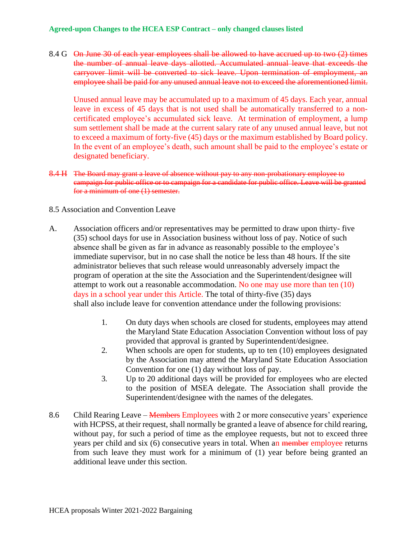8.4 G On June 30 of each year employees shall be allowed to have accrued up to two (2) times the number of annual leave days allotted. Accumulated annual leave that exceeds the carryover limit will be converted to sick leave. Upon termination of employment, an employee shall be paid for any unused annual leave not to exceed the aforementioned limit.

Unused annual leave may be accumulated up to a maximum of 45 days. Each year, annual leave in excess of 45 days that is not used shall be automatically transferred to a noncertificated employee's accumulated sick leave. At termination of employment, a lump sum settlement shall be made at the current salary rate of any unused annual leave, but not to exceed a maximum of forty-five (45) days or the maximum established by Board policy. In the event of an employee's death, such amount shall be paid to the employee's estate or designated beneficiary.

8.4 H The Board may grant a leave of absence without pay to any non-probationary employee to campaign for public office or to campaign for a candidate for public office. Leave will be granted for a minimum of one (1) semester.

#### 8.5 Association and Convention Leave

- A. Association officers and/or representatives may be permitted to draw upon thirty- five (35) school days for use in Association business without loss of pay. Notice of such absence shall be given as far in advance as reasonably possible to the employee's immediate supervisor, but in no case shall the notice be less than 48 hours. If the site administrator believes that such release would unreasonably adversely impact the program of operation at the site the Association and the Superintendent/designee will attempt to work out a reasonable accommodation. No one may use more than ten (10) days in a school year under this Article. The total of thirty-five (35) days shall also include leave for convention attendance under the following provisions:
	- 1. On duty days when schools are closed for students, employees may attend the Maryland State Education Association Convention without loss of pay provided that approval is granted by Superintendent/designee.
	- 2. When schools are open for students, up to ten (10) employees designated by the Association may attend the Maryland State Education Association Convention for one (1) day without loss of pay.
	- 3. Up to 20 additional days will be provided for employees who are elected to the position of MSEA delegate. The Association shall provide the Superintendent/designee with the names of the delegates.
- 8.6 Child Rearing Leave Members Employees with 2 or more consecutive years' experience with HCPSS, at their request, shall normally be granted a leave of absence for child rearing, without pay, for such a period of time as the employee requests, but not to exceed three years per child and six (6) consecutive years in total. When an member employee returns from such leave they must work for a minimum of (1) year before being granted an additional leave under this section.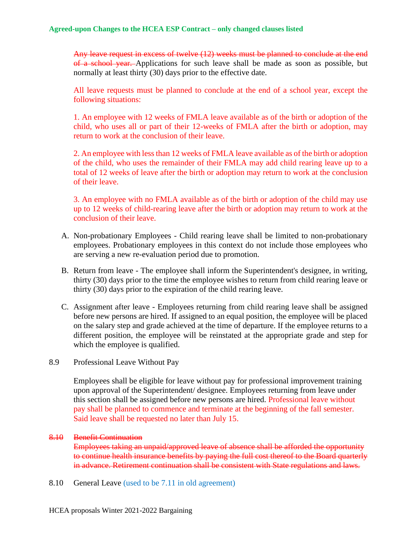Any leave request in excess of twelve (12) weeks must be planned to conclude at the end of a school year. Applications for such leave shall be made as soon as possible, but normally at least thirty (30) days prior to the effective date.

All leave requests must be planned to conclude at the end of a school year, except the following situations:

1. An employee with 12 weeks of FMLA leave available as of the birth or adoption of the child, who uses all or part of their 12-weeks of FMLA after the birth or adoption, may return to work at the conclusion of their leave.

2. An employee with less than 12 weeks of FMLA leave available as of the birth or adoption of the child, who uses the remainder of their FMLA may add child rearing leave up to a total of 12 weeks of leave after the birth or adoption may return to work at the conclusion of their leave.

3. An employee with no FMLA available as of the birth or adoption of the child may use up to 12 weeks of child-rearing leave after the birth or adoption may return to work at the conclusion of their leave.

- A. Non-probationary Employees Child rearing leave shall be limited to non-probationary employees. Probationary employees in this context do not include those employees who are serving a new re-evaluation period due to promotion.
- B. Return from leave The employee shall inform the Superintendent's designee, in writing, thirty (30) days prior to the time the employee wishes to return from child rearing leave or thirty (30) days prior to the expiration of the child rearing leave.
- C. Assignment after leave Employees returning from child rearing leave shall be assigned before new persons are hired. If assigned to an equal position, the employee will be placed on the salary step and grade achieved at the time of departure. If the employee returns to a different position, the employee will be reinstated at the appropriate grade and step for which the employee is qualified.
- 8.9 Professional Leave Without Pay

Employees shall be eligible for leave without pay for professional improvement training upon approval of the Superintendent/ designee. Employees returning from leave under this section shall be assigned before new persons are hired. Professional leave without pay shall be planned to commence and terminate at the beginning of the fall semester. Said leave shall be requested no later than July 15.

#### 8.10 Benefit Continuation

Employees taking an unpaid/approved leave of absence shall be afforded the opportunity to continue health insurance benefits by paying the full cost thereof to the Board quarterly in advance. Retirement continuation shall be consistent with State regulations and laws.

8.10 General Leave (used to be 7.11 in old agreement)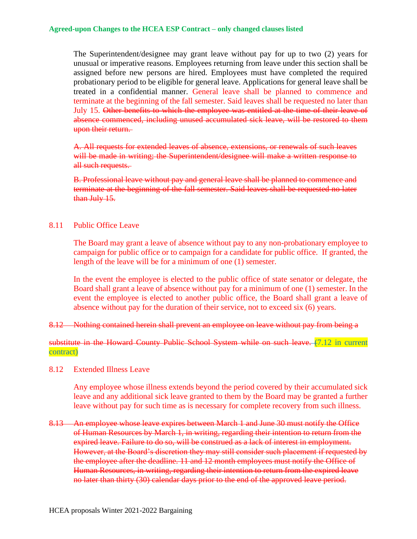The Superintendent/designee may grant leave without pay for up to two (2) years for unusual or imperative reasons. Employees returning from leave under this section shall be assigned before new persons are hired. Employees must have completed the required probationary period to be eligible for general leave. Applications for general leave shall be treated in a confidential manner. General leave shall be planned to commence and terminate at the beginning of the fall semester. Said leaves shall be requested no later than July 15. Other benefits to which the employee was entitled at the time of their leave of absence commenced, including unused accumulated sick leave, will be restored to them upon their return.

A. All requests for extended leaves of absence, extensions, or renewals of such leaves will be made in writing; the Superintendent/designee will make a written response to all such requests.

B. Professional leave without pay and general leave shall be planned to commence and terminate at the beginning of the fall semester. Said leaves shall be requested no later than July 15.

### 8.11 Public Office Leave

The Board may grant a leave of absence without pay to any non-probationary employee to campaign for public office or to campaign for a candidate for public office. If granted, the length of the leave will be for a minimum of one (1) semester.

In the event the employee is elected to the public office of state senator or delegate, the Board shall grant a leave of absence without pay for a minimum of one (1) semester. In the event the employee is elected to another public office, the Board shall grant a leave of absence without pay for the duration of their service, not to exceed six (6) years.

#### 8.12 Nothing contained herein shall prevent an employee on leave without pay from being a

substitute in the Howard County Public School System while on such leave. (7.12 in current contract)

8.12 Extended Illness Leave

Any employee whose illness extends beyond the period covered by their accumulated sick leave and any additional sick leave granted to them by the Board may be granted a further leave without pay for such time as is necessary for complete recovery from such illness.

8.13 An employee whose leave expires between March 1 and June 30 must notify the Office of Human Resources by March 1, in writing, regarding their intention to return from the expired leave. Failure to do so, will be construed as a lack of interest in employment. However, at the Board's discretion they may still consider such placement if requested by the employee after the deadline. 11 and 12 month employees must notify the Office of Human Resources, in writing, regarding their intention to return from the expired leave no later than thirty (30) calendar days prior to the end of the approved leave period.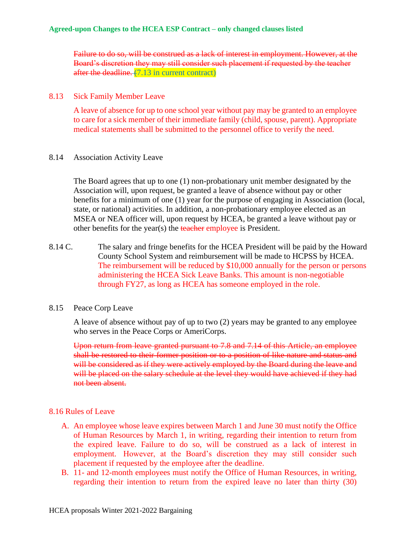Failure to do so, will be construed as a lack of interest in employment. However, at the Board's discretion they may still consider such placement if requested by the teacher after the deadline. (7.13 in current contract)

#### 8.13 Sick Family Member Leave

A leave of absence for up to one school year without pay may be granted to an employee to care for a sick member of their immediate family (child, spouse, parent). Appropriate medical statements shall be submitted to the personnel office to verify the need.

#### 8.14 Association Activity Leave

The Board agrees that up to one (1) non-probationary unit member designated by the Association will, upon request, be granted a leave of absence without pay or other benefits for a minimum of one (1) year for the purpose of engaging in Association (local, state, or national) activities. In addition, a non-probationary employee elected as an MSEA or NEA officer will, upon request by HCEA, be granted a leave without pay or other benefits for the year(s) the teacher employee is President.

8.14 C. The salary and fringe benefits for the HCEA President will be paid by the Howard County School System and reimbursement will be made to HCPSS by HCEA. The reimbursement will be reduced by \$10,000 annually for the person or persons administering the HCEA Sick Leave Banks. This amount is non-negotiable through FY27, as long as HCEA has someone employed in the role.

### 8.15 Peace Corp Leave

A leave of absence without pay of up to two (2) years may be granted to any employee who serves in the Peace Corps or AmeriCorps.

Upon return from leave granted pursuant to 7.8 and 7.14 of this Article, an employee shall be restored to their former position or to a position of like nature and status and will be considered as if they were actively employed by the Board during the leave and will be placed on the salary schedule at the level they would have achieved if they had not been absent.

### 8.16 Rules of Leave

- A. An employee whose leave expires between March 1 and June 30 must notify the Office of Human Resources by March 1, in writing, regarding their intention to return from the expired leave. Failure to do so, will be construed as a lack of interest in employment. However, at the Board's discretion they may still consider such placement if requested by the employee after the deadline.
- B. 11- and 12-month employees must notify the Office of Human Resources, in writing, regarding their intention to return from the expired leave no later than thirty (30)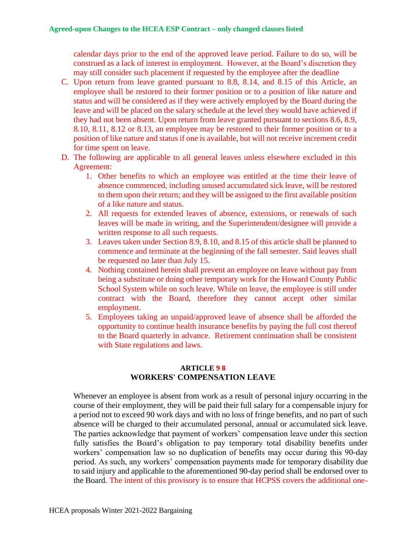calendar days prior to the end of the approved leave period. Failure to do so, will be construed as a lack of interest in employment. However, at the Board's discretion they may still consider such placement if requested by the employee after the deadline

- C. Upon return from leave granted pursuant to 8.8, 8.14, and 8.15 of this Article, an employee shall be restored to their former position or to a position of like nature and status and will be considered as if they were actively employed by the Board during the leave and will be placed on the salary schedule at the level they would have achieved if they had not been absent. Upon return from leave granted pursuant to sections 8.6, 8.9, 8.10, 8.11, 8.12 or 8.13, an employee may be restored to their former position or to a position of like nature and status if one is available, but will not receive increment credit for time spent on leave.
- D. The following are applicable to all general leaves unless elsewhere excluded in this Agreement:
	- 1. Other benefits to which an employee was entitled at the time their leave of absence commenced, including unused accumulated sick leave, will be restored to them upon their return; and they will be assigned to the first available position of a like nature and status.
	- 2. All requests for extended leaves of absence, extensions, or renewals of such leaves will be made in writing, and the Superintendent/designee will provide a written response to all such requests.
	- 3. Leaves taken under Section 8.9, 8.10, and 8.15 of this article shall be planned to commence and terminate at the beginning of the fall semester. Said leaves shall be requested no later than July 15.
	- 4. Nothing contained herein shall prevent an employee on leave without pay from being a substitute or doing other temporary work for the Howard County Public School System while on such leave. While on leave, the employee is still under contract with the Board, therefore they cannot accept other similar employment.
	- 5. Employees taking an unpaid/approved leave of absence shall be afforded the opportunity to continue health insurance benefits by paying the full cost thereof to the Board quarterly in advance. Retirement continuation shall be consistent with State regulations and laws.

### **ARTICLE 9 8 WORKERS' COMPENSATION LEAVE**

Whenever an employee is absent from work as a result of personal injury occurring in the course of their employment, they will be paid their full salary for a compensable injury for a period not to exceed 90 work days and with no loss of fringe benefits, and no part of such absence will be charged to their accumulated personal, annual or accumulated sick leave. The parties acknowledge that payment of workers' compensation leave under this section fully satisfies the Board's obligation to pay temporary total disability benefits under workers' compensation law so no duplication of benefits may occur during this 90-day period. As such, any workers' compensation payments made for temporary disability due to said injury and applicable to the aforementioned 90-day period shall be endorsed over to the Board. The intent of this provisory is to ensure that HCPSS covers the additional one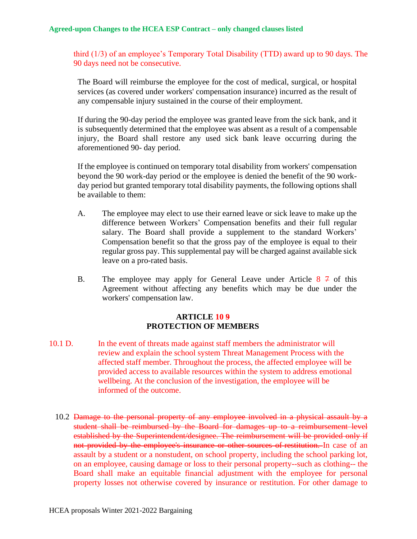third (1/3) of an employee's Temporary Total Disability (TTD) award up to 90 days. The 90 days need not be consecutive.

The Board will reimburse the employee for the cost of medical, surgical, or hospital services (as covered under workers' compensation insurance) incurred as the result of any compensable injury sustained in the course of their employment.

If during the 90-day period the employee was granted leave from the sick bank, and it is subsequently determined that the employee was absent as a result of a compensable injury, the Board shall restore any used sick bank leave occurring during the aforementioned 90- day period.

If the employee is continued on temporary total disability from workers' compensation beyond the 90 work-day period or the employee is denied the benefit of the 90 workday period but granted temporary total disability payments, the following options shall be available to them:

- A. The employee may elect to use their earned leave or sick leave to make up the difference between Workers' Compensation benefits and their full regular salary. The Board shall provide a supplement to the standard Workers' Compensation benefit so that the gross pay of the employee is equal to their regular gross pay. This supplemental pay will be charged against available sick leave on a pro-rated basis.
- B. The employee may apply for General Leave under Article  $8 \div 7$  of this Agreement without affecting any benefits which may be due under the workers' compensation law.

### **ARTICLE 10 9 PROTECTION OF MEMBERS**

- 10.1 D. In the event of threats made against staff members the administrator will review and explain the school system Threat Management Process with the affected staff member. Throughout the process, the affected employee will be provided access to available resources within the system to address emotional wellbeing. At the conclusion of the investigation, the employee will be informed of the outcome.
	- 10.2 Damage to the personal property of any employee involved in a physical assault by a student shall be reimbursed by the Board for damages up to a reimbursement level established by the Superintendent/designee. The reimbursement will be provided only if not provided by the employee's insurance or other sources of restitution. In case of an assault by a student or a nonstudent, on school property, including the school parking lot, on an employee, causing damage or loss to their personal property--such as clothing-- the Board shall make an equitable financial adjustment with the employee for personal property losses not otherwise covered by insurance or restitution. For other damage to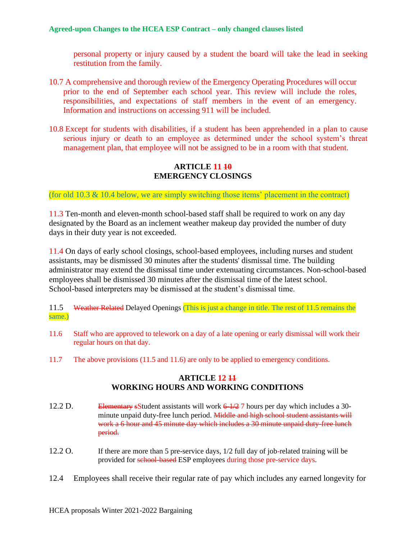personal property or injury caused by a student the board will take the lead in seeking restitution from the family.

- 10.7 A comprehensive and thorough review of the Emergency Operating Procedures will occur prior to the end of September each school year. This review will include the roles, responsibilities, and expectations of staff members in the event of an emergency. Information and instructions on accessing 911 will be included.
- 10.8 Except for students with disabilities, if a student has been apprehended in a plan to cause serious injury or death to an employee as determined under the school system's threat management plan, that employee will not be assigned to be in a room with that student.

## **ARTICLE 11 10 EMERGENCY CLOSINGS**

(for old 10.3  $\&$  10.4 below, we are simply switching those items' placement in the contract)

11.3 Ten-month and eleven-month school-based staff shall be required to work on any day designated by the Board as an inclement weather makeup day provided the number of duty days in their duty year is not exceeded.

11.4 On days of early school closings, school-based employees, including nurses and student assistants, may be dismissed 30 minutes after the students' dismissal time. The building administrator may extend the dismissal time under extenuating circumstances. Non-school-based employees shall be dismissed 30 minutes after the dismissal time of the latest school. School-based interpreters may be dismissed at the student's dismissal time.

#### 11.5 Weather Related Delayed Openings (This is just a change in title. The rest of 11.5 remains the same.)

- 11.6 Staff who are approved to telework on a day of a late opening or early dismissal will work their regular hours on that day.
- 11.7 The above provisions (11.5 and 11.6) are only to be applied to emergency conditions.

## **ARTICLE 12 11 WORKING HOURS AND WORKING CONDITIONS**

- 12.2 D. Elementary sStudent assistants will work  $\frac{6-1}{2}$  7 hours per day which includes a 30minute unpaid duty-free lunch period. Middle and high school student assistants will work a 6 hour and 45 minute day which includes a 30 minute unpaid duty-free lunch period.
- 12.2 O. If there are more than 5 pre-service days,  $1/2$  full day of job-related training will be provided for school-based ESP employees during those pre-service days.
- 12.4 Employees shall receive their regular rate of pay which includes any earned longevity for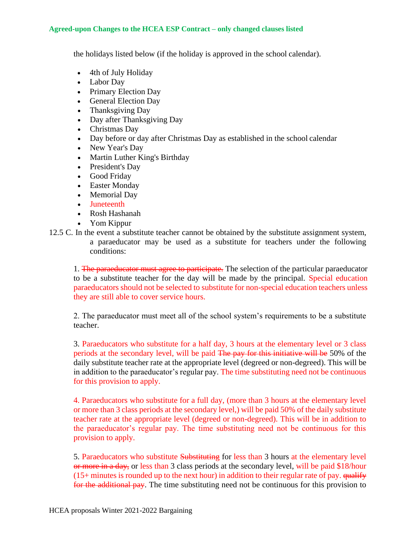the holidays listed below (if the holiday is approved in the school calendar).

- 4th of July Holiday
- Labor Day
- Primary Election Day
- General Election Day
- Thanksgiving Day
- Day after Thanksgiving Day
- Christmas Day
- Day before or day after Christmas Day as established in the school calendar
- New Year's Day
- Martin Luther King's Birthday
- President's Day
- Good Friday
- Easter Monday
- Memorial Day
- Juneteenth
- Rosh Hashanah
- Yom Kippur
- 12.5 C. In the event a substitute teacher cannot be obtained by the substitute assignment system, a paraeducator may be used as a substitute for teachers under the following conditions:

1. The paraeducator must agree to participate. The selection of the particular paraeducator to be a substitute teacher for the day will be made by the principal. Special education paraeducators should not be selected to substitute for non-special education teachers unless they are still able to cover service hours.

2. The paraeducator must meet all of the school system's requirements to be a substitute teacher.

3. Paraeducators who substitute for a half day, 3 hours at the elementary level or 3 class periods at the secondary level, will be paid The pay for this initiative will be 50% of the daily substitute teacher rate at the appropriate level (degreed or non-degreed). This will be in addition to the paraeducator's regular pay. The time substituting need not be continuous for this provision to apply.

4. Paraeducators who substitute for a full day, (more than 3 hours at the elementary level or more than 3 class periods at the secondary level,) will be paid 50% of the daily substitute teacher rate at the appropriate level (degreed or non-degreed). This will be in addition to the paraeducator's regular pay. The time substituting need not be continuous for this provision to apply.

5. Paraeducators who substitute Substituting for less than 3 hours at the elementary level or more in a day, or less than 3 class periods at the secondary level, will be paid \$18/hour  $(15+$  minutes is rounded up to the next hour) in addition to their regular rate of pay.  $\frac{1}{4}$ for the additional pay. The time substituting need not be continuous for this provision to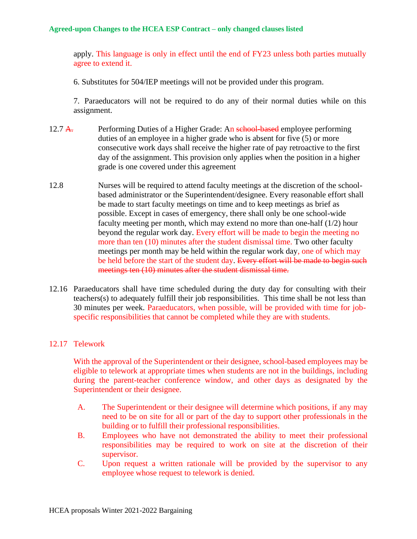apply. This language is only in effect until the end of FY23 unless both parties mutually agree to extend it.

6. Substitutes for 504/IEP meetings will not be provided under this program.

7. Paraeducators will not be required to do any of their normal duties while on this assignment.

- 12.7 A. Performing Duties of a Higher Grade: An school-based employee performing duties of an employee in a higher grade who is absent for five (5) or more consecutive work days shall receive the higher rate of pay retroactive to the first day of the assignment. This provision only applies when the position in a higher grade is one covered under this agreement
- 12.8 Nurses will be required to attend faculty meetings at the discretion of the schoolbased administrator or the Superintendent/designee. Every reasonable effort shall be made to start faculty meetings on time and to keep meetings as brief as possible. Except in cases of emergency, there shall only be one school-wide faculty meeting per month, which may extend no more than one-half (1/2) hour beyond the regular work day. Every effort will be made to begin the meeting no more than ten (10) minutes after the student dismissal time. Two other faculty meetings per month may be held within the regular work day, one of which may be held before the start of the student day. Every effort will be made to begin such meetings ten (10) minutes after the student dismissal time.
- 12.16 Paraeducators shall have time scheduled during the duty day for consulting with their teachers(s) to adequately fulfill their job responsibilities. This time shall be not less than 30 minutes per week. Paraeducators, when possible, will be provided with time for jobspecific responsibilities that cannot be completed while they are with students.

### 12.17 Telework

With the approval of the Superintendent or their designee, school-based employees may be eligible to telework at appropriate times when students are not in the buildings, including during the parent-teacher conference window, and other days as designated by the Superintendent or their designee.

- A. The Superintendent or their designee will determine which positions, if any may need to be on site for all or part of the day to support other professionals in the building or to fulfill their professional responsibilities.
- B. Employees who have not demonstrated the ability to meet their professional responsibilities may be required to work on site at the discretion of their supervisor.
- C. Upon request a written rationale will be provided by the supervisor to any employee whose request to telework is denied.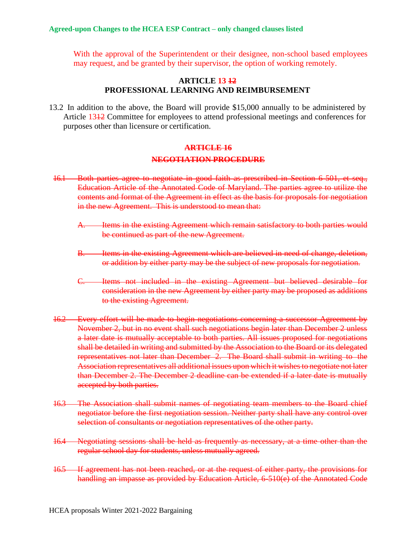With the approval of the Superintendent or their designee, non-school based employees may request, and be granted by their supervisor, the option of working remotely.

### **ARTICLE 13 12 PROFESSIONAL LEARNING AND REIMBURSEMENT**

13.2 In addition to the above, the Board will provide \$15,000 annually to be administered by Article 1312 Committee for employees to attend professional meetings and conferences for purposes other than licensure or certification.

## **ARTICLE 16 NEGOTIATION PROCEDURE**

- 16.1 Both parties agree to negotiate in good faith as prescribed in Section 6-501, et seq., Education Article of the Annotated Code of Maryland. The parties agree to utilize the contents and format of the Agreement in effect as the basis for proposals for negotiation in the new Agreement. This is understood to mean that:
	- A. Items in the existing Agreement which remain satisfactory to both parties would be continued as part of the new Agreement.
	- B. Items in the existing Agreement which are believed in need of change, deletion, or addition by either party may be the subject of new proposals for negotiation.
	- C. Items not included in the existing Agreement but believed desirable for consideration in the new Agreement by either party may be proposed as additions to the existing Agreement.
- 16.2 Every effort will be made to begin negotiations concerning a successor Agreement by November 2, but in no event shall such negotiations begin later than December 2 unless a later date is mutually acceptable to both parties. All issues proposed for negotiations shall be detailed in writing and submitted by the Association to the Board or its delegated representatives not later than December 2. The Board shall submit in writing to the Association representatives all additional issues upon which it wishesto negotiate not later than December 2. The December 2 deadline can be extended if a later date is mutually accepted by both parties.
- 16.3 The Association shall submit names of negotiating team members to the Board chief negotiator before the first negotiation session. Neither party shall have any control over selection of consultants or negotiation representatives of the other party.
- 16.4 Negotiating sessions shall be held as frequently as necessary, at a time other than the regular school day for students, unless mutually agreed.
- 16.5 If agreement has not been reached, or at the request of either party, the provisions for handling an impasse as provided by Education Article, 6-510(e) of the Annotated Code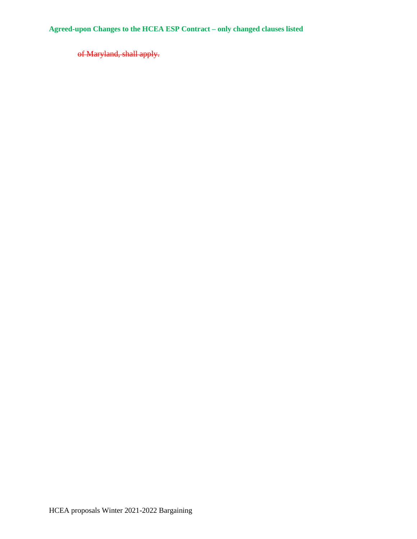of Maryland, shall apply.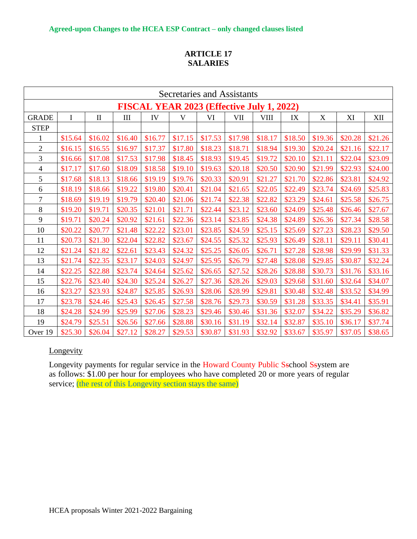## **ARTICLE 17 SALARIES**

| Secretaries and Assistants                |          |              |         |         |         |         |         |             |         |         |         |         |
|-------------------------------------------|----------|--------------|---------|---------|---------|---------|---------|-------------|---------|---------|---------|---------|
| FISCAL YEAR 2023 (Effective July 1, 2022) |          |              |         |         |         |         |         |             |         |         |         |         |
| <b>GRADE</b>                              | $\bf{I}$ | $\mathbf{I}$ | III     | IV      | V       | VI      | VII     | <b>VIII</b> | IX      | X       | XI      | XII     |
| <b>STEP</b>                               |          |              |         |         |         |         |         |             |         |         |         |         |
| $\mathbf{1}$                              | \$15.64  | \$16.02      | \$16.40 | \$16.77 | \$17.15 | \$17.53 | \$17.98 | \$18.17     | \$18.50 | \$19.36 | \$20.28 | \$21.26 |
| $\mathbf{2}$                              | \$16.15  | \$16.55      | \$16.97 | \$17.37 | \$17.80 | \$18.23 | \$18.71 | \$18.94     | \$19.30 | \$20.24 | \$21.16 | \$22.17 |
| 3                                         | \$16.66  | \$17.08      | \$17.53 | \$17.98 | \$18.45 | \$18.93 | \$19.45 | \$19.72     | \$20.10 | \$21.11 | \$22.04 | \$23.09 |
| 4                                         | \$17.17  | \$17.60      | \$18.09 | \$18.58 | \$19.10 | \$19.63 | \$20.18 | \$20.50     | \$20.90 | \$21.99 | \$22.93 | \$24.00 |
| 5                                         | \$17.68  | \$18.13      | \$18.66 | \$19.19 | \$19.76 | \$20.33 | \$20.91 | \$21.27     | \$21.70 | \$22.86 | \$23.81 | \$24.92 |
| 6                                         | \$18.19  | \$18.66      | \$19.22 | \$19.80 | \$20.41 | \$21.04 | \$21.65 | \$22.05     | \$22.49 | \$23.74 | \$24.69 | \$25.83 |
| $\boldsymbol{7}$                          | \$18.69  | \$19.19      | \$19.79 | \$20.40 | \$21.06 | \$21.74 | \$22.38 | \$22.82     | \$23.29 | \$24.61 | \$25.58 | \$26.75 |
| 8                                         | \$19.20  | \$19.71      | \$20.35 | \$21.01 | \$21.71 | \$22.44 | \$23.12 | \$23.60     | \$24.09 | \$25.48 | \$26.46 | \$27.67 |
| 9                                         | \$19.71  | \$20.24      | \$20.92 | \$21.61 | \$22.36 | \$23.14 | \$23.85 | \$24.38     | \$24.89 | \$26.36 | \$27.34 | \$28.58 |
| 10                                        | \$20.22  | \$20.77      | \$21.48 | \$22.22 | \$23.01 | \$23.85 | \$24.59 | \$25.15     | \$25.69 | \$27.23 | \$28.23 | \$29.50 |
| 11                                        | \$20.73  | \$21.30      | \$22.04 | \$22.82 | \$23.67 | \$24.55 | \$25.32 | \$25.93     | \$26.49 | \$28.11 | \$29.11 | \$30.41 |
| 12                                        | \$21.24  | \$21.82      | \$22.61 | \$23.43 | \$24.32 | \$25.25 | \$26.05 | \$26.71     | \$27.28 | \$28.98 | \$29.99 | \$31.33 |
| 13                                        | \$21.74  | \$22.35      | \$23.17 | \$24.03 | \$24.97 | \$25.95 | \$26.79 | \$27.48     | \$28.08 | \$29.85 | \$30.87 | \$32.24 |
| 14                                        | \$22.25  | \$22.88      | \$23.74 | \$24.64 | \$25.62 | \$26.65 | \$27.52 | \$28.26     | \$28.88 | \$30.73 | \$31.76 | \$33.16 |
| 15                                        | \$22.76  | \$23.40      | \$24.30 | \$25.24 | \$26.27 | \$27.36 | \$28.26 | \$29.03     | \$29.68 | \$31.60 | \$32.64 | \$34.07 |
| 16                                        | \$23.27  | \$23.93      | \$24.87 | \$25.85 | \$26.93 | \$28.06 | \$28.99 | \$29.81     | \$30.48 | \$32.48 | \$33.52 | \$34.99 |
| 17                                        | \$23.78  | \$24.46      | \$25.43 | \$26.45 | \$27.58 | \$28.76 | \$29.73 | \$30.59     | \$31.28 | \$33.35 | \$34.41 | \$35.91 |
| 18                                        | \$24.28  | \$24.99      | \$25.99 | \$27.06 | \$28.23 | \$29.46 | \$30.46 | \$31.36     | \$32.07 | \$34.22 | \$35.29 | \$36.82 |
| 19                                        | \$24.79  | \$25.51      | \$26.56 | \$27.66 | \$28.88 | \$30.16 | \$31.19 | \$32.14     | \$32.87 | \$35.10 | \$36.17 | \$37.74 |
| Over 19                                   | \$25.30  | \$26.04      | \$27.12 | \$28.27 | \$29.53 | \$30.87 | \$31.93 | \$32.92     | \$33.67 | \$35.97 | \$37.05 | \$38.65 |

## **Longevity**

Longevity payments for regular service in the Howard County Public Sschool Ssystem are as follows: \$1.00 per hour for employees who have completed 20 or more years of regular service; (the rest of this Longevity section stays the same)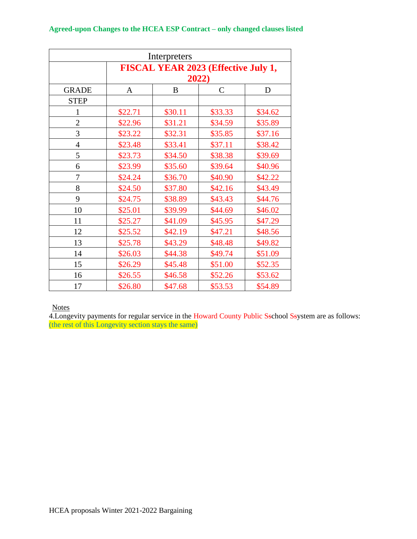| Interpreters   |                                            |         |         |         |  |  |  |  |
|----------------|--------------------------------------------|---------|---------|---------|--|--|--|--|
|                | <b>FISCAL YEAR 2023 (Effective July 1,</b> |         |         |         |  |  |  |  |
|                | 2022)                                      |         |         |         |  |  |  |  |
| <b>GRADE</b>   | $\mathsf{C}$<br>B<br>D<br>A                |         |         |         |  |  |  |  |
| <b>STEP</b>    |                                            |         |         |         |  |  |  |  |
| $\mathbf{1}$   | \$22.71                                    | \$30.11 | \$33.33 | \$34.62 |  |  |  |  |
| $\overline{2}$ | \$22.96                                    | \$31.21 | \$34.59 | \$35.89 |  |  |  |  |
| 3              | \$23.22                                    | \$32.31 | \$35.85 | \$37.16 |  |  |  |  |
| $\overline{4}$ | \$23.48                                    | \$33.41 | \$37.11 | \$38.42 |  |  |  |  |
| 5              | \$23.73                                    | \$34.50 | \$38.38 | \$39.69 |  |  |  |  |
| 6              | \$23.99                                    | \$35.60 | \$39.64 | \$40.96 |  |  |  |  |
| 7              | \$24.24                                    | \$36.70 | \$40.90 | \$42.22 |  |  |  |  |
| 8              | \$24.50                                    | \$37.80 | \$42.16 | \$43.49 |  |  |  |  |
| 9              | \$24.75                                    | \$38.89 | \$43.43 | \$44.76 |  |  |  |  |
| 10             | \$25.01                                    | \$39.99 | \$44.69 | \$46.02 |  |  |  |  |
| 11             | \$25.27                                    | \$41.09 | \$45.95 | \$47.29 |  |  |  |  |
| 12             | \$25.52                                    | \$42.19 | \$47.21 | \$48.56 |  |  |  |  |
| 13             | \$25.78                                    | \$43.29 | \$48.48 | \$49.82 |  |  |  |  |
| 14             | \$26.03                                    | \$44.38 | \$49.74 | \$51.09 |  |  |  |  |
| 15             | \$26.29                                    | \$45.48 | \$51.00 | \$52.35 |  |  |  |  |
| 16             | \$26.55                                    | \$46.58 | \$52.26 | \$53.62 |  |  |  |  |
| 17             | \$26.80                                    | \$47.68 | \$53.53 | \$54.89 |  |  |  |  |

**Notes** 

4. Longevity payments for regular service in the Howard County Public Sschool Ssystem are as follows: (the rest of this Longevity section stays the same)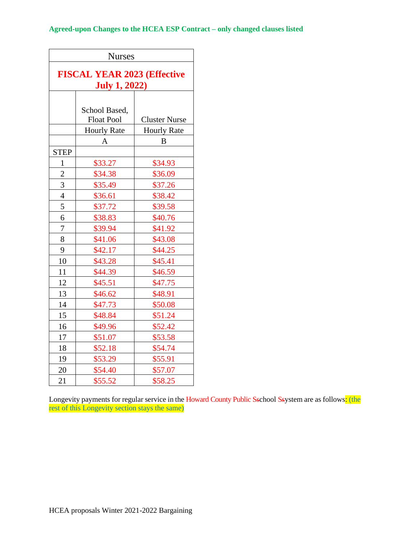| <b>Nurses</b>                                              |                                    |                      |  |  |  |
|------------------------------------------------------------|------------------------------------|----------------------|--|--|--|
| <b>FISCAL YEAR 2023 (Effective</b><br><b>July 1, 2022)</b> |                                    |                      |  |  |  |
|                                                            | School Based,<br><b>Float Pool</b> | <b>Cluster Nurse</b> |  |  |  |
|                                                            | <b>Hourly Rate</b>                 | <b>Hourly Rate</b>   |  |  |  |
|                                                            | A                                  | B                    |  |  |  |
| <b>STEP</b>                                                |                                    |                      |  |  |  |
| $\mathbf{1}$                                               | \$33.27                            | \$34.93              |  |  |  |
| $\overline{c}$                                             | \$34.38                            | \$36.09              |  |  |  |
| 3                                                          | \$35.49                            | \$37.26              |  |  |  |
| $\overline{4}$                                             | \$36.61                            | \$38.42              |  |  |  |
| 5                                                          | \$37.72                            | \$39.58              |  |  |  |
| 6                                                          | \$38.83                            | \$40.76              |  |  |  |
| 7                                                          | \$39.94                            | \$41.92              |  |  |  |
| 8                                                          | \$41.06                            | \$43.08              |  |  |  |
| 9                                                          | \$42.17                            | \$44.25              |  |  |  |
| 10                                                         | \$43.28                            | \$45.41              |  |  |  |
| 11                                                         | \$44.39                            | \$46.59              |  |  |  |
| 12                                                         | \$45.51                            | \$47.75              |  |  |  |
| 13                                                         | \$46.62                            | \$48.91              |  |  |  |
| 14                                                         | \$47.73                            | \$50.08              |  |  |  |
| 15                                                         | \$48.84                            | \$51.24              |  |  |  |
| 16                                                         | \$49.96                            | \$52.42              |  |  |  |
| 17                                                         | \$51.07                            | \$53.58              |  |  |  |
| 18                                                         | \$52.18                            | \$54.74              |  |  |  |
| 19                                                         | \$53.29                            | \$55.91              |  |  |  |
| 20                                                         | \$54.40                            | \$57.07              |  |  |  |
| 21                                                         | \$55.52                            | \$58.25              |  |  |  |

Longevity payments for regular service in the Howard County Public Sschool Ssystem are as follows<mark>: (the</mark> rest of this Longevity section stays the same)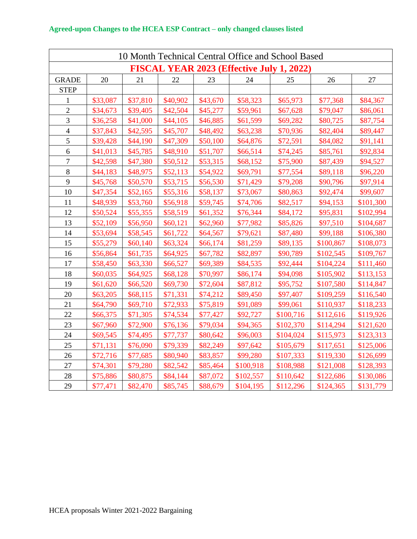| 10 Month Technical Central Office and School Based |                                                  |          |          |          |           |           |           |           |
|----------------------------------------------------|--------------------------------------------------|----------|----------|----------|-----------|-----------|-----------|-----------|
|                                                    | <b>FISCAL YEAR 2023 (Effective July 1, 2022)</b> |          |          |          |           |           |           |           |
| <b>GRADE</b>                                       | 20                                               | 21       | 22       | 23       | 24        | 25        | 26        | 27        |
| <b>STEP</b>                                        |                                                  |          |          |          |           |           |           |           |
| 1                                                  | \$33,087                                         | \$37,810 | \$40,902 | \$43,670 | \$58,323  | \$65,973  | \$77,368  | \$84,367  |
| $\overline{2}$                                     | \$34,673                                         | \$39,405 | \$42,504 | \$45,277 | \$59,961  | \$67,628  | \$79,047  | \$86,061  |
| 3                                                  | \$36,258                                         | \$41,000 | \$44,105 | \$46,885 | \$61,599  | \$69,282  | \$80,725  | \$87,754  |
| $\overline{\mathbf{4}}$                            | \$37,843                                         | \$42,595 | \$45,707 | \$48,492 | \$63,238  | \$70,936  | \$82,404  | \$89,447  |
| 5                                                  | \$39,428                                         | \$44,190 | \$47,309 | \$50,100 | \$64,876  | \$72,591  | \$84,082  | \$91,141  |
| 6                                                  | \$41,013                                         | \$45,785 | \$48,910 | \$51,707 | \$66,514  | \$74,245  | \$85,761  | \$92,834  |
| $\overline{7}$                                     | \$42,598                                         | \$47,380 | \$50,512 | \$53,315 | \$68,152  | \$75,900  | \$87,439  | \$94,527  |
| 8                                                  | \$44,183                                         | \$48,975 | \$52,113 | \$54,922 | \$69,791  | \$77,554  | \$89,118  | \$96,220  |
| 9                                                  | \$45,768                                         | \$50,570 | \$53,715 | \$56,530 | \$71,429  | \$79,208  | \$90,796  | \$97,914  |
| 10                                                 | \$47,354                                         | \$52,165 | \$55,316 | \$58,137 | \$73,067  | \$80,863  | \$92,474  | \$99,607  |
| 11                                                 | \$48,939                                         | \$53,760 | \$56,918 | \$59,745 | \$74,706  | \$82,517  | \$94,153  | \$101,300 |
| 12                                                 | \$50,524                                         | \$55,355 | \$58,519 | \$61,352 | \$76,344  | \$84,172  | \$95,831  | \$102,994 |
| 13                                                 | \$52,109                                         | \$56,950 | \$60,121 | \$62,960 | \$77,982  | \$85,826  | \$97,510  | \$104,687 |
| 14                                                 | \$53,694                                         | \$58,545 | \$61,722 | \$64,567 | \$79,621  | \$87,480  | \$99,188  | \$106,380 |
| 15                                                 | \$55,279                                         | \$60,140 | \$63,324 | \$66,174 | \$81,259  | \$89,135  | \$100,867 | \$108,073 |
| 16                                                 | \$56,864                                         | \$61,735 | \$64,925 | \$67,782 | \$82,897  | \$90,789  | \$102,545 | \$109,767 |
| 17                                                 | \$58,450                                         | \$63,330 | \$66,527 | \$69,389 | \$84,535  | \$92,444  | \$104,224 | \$111,460 |
| 18                                                 | \$60,035                                         | \$64,925 | \$68,128 | \$70,997 | \$86,174  | \$94,098  | \$105,902 | \$113,153 |
| 19                                                 | \$61,620                                         | \$66,520 | \$69,730 | \$72,604 | \$87,812  | \$95,752  | \$107,580 | \$114,847 |
| 20                                                 | \$63,205                                         | \$68,115 | \$71,331 | \$74,212 | \$89,450  | \$97,407  | \$109,259 | \$116,540 |
| 21                                                 | \$64,790                                         | \$69,710 | \$72,933 | \$75,819 | \$91,089  | \$99,061  | \$110,937 | \$118,233 |
| 22                                                 | \$66,375                                         | \$71,305 | \$74,534 | \$77,427 | \$92,727  | \$100,716 | \$112,616 | \$119,926 |
| 23                                                 | \$67,960                                         | \$72,900 | \$76,136 | \$79,034 | \$94,365  | \$102,370 | \$114,294 | \$121,620 |
| 24                                                 | \$69,545                                         | \$74,495 | \$77,737 | \$80,642 | \$96,003  | \$104,024 | \$115,973 | \$123,313 |
| 25                                                 | \$71,131                                         | \$76,090 | \$79,339 | \$82,249 | \$97,642  | \$105,679 | \$117,651 | \$125,006 |
| 26                                                 | \$72,716                                         | \$77,685 | \$80,940 | \$83,857 | \$99,280  | \$107,333 | \$119,330 | \$126,699 |
| 27                                                 | \$74,301                                         | \$79,280 | \$82,542 | \$85,464 | \$100,918 | \$108,988 | \$121,008 | \$128,393 |
| 28                                                 | \$75,886                                         | \$80,875 | \$84,144 | \$87,072 | \$102,557 | \$110,642 | \$122,686 | \$130,086 |
| 29                                                 | \$77,471                                         | \$82,470 | \$85,745 | \$88,679 | \$104,195 | \$112,296 | \$124,365 | \$131,779 |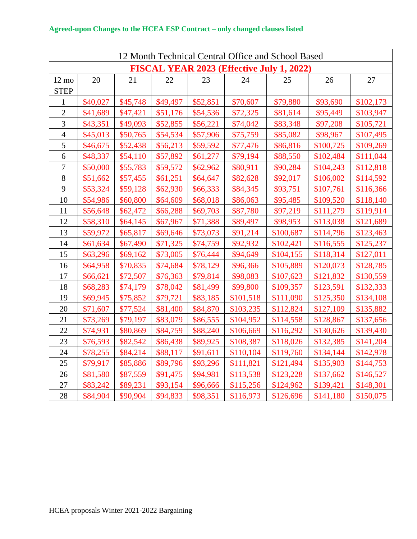| 12 Month Technical Central Office and School Based |          |          |          |          |           |           |           |           |
|----------------------------------------------------|----------|----------|----------|----------|-----------|-----------|-----------|-----------|
| FISCAL YEAR 2023 (Effective July 1, 2022)          |          |          |          |          |           |           |           |           |
| $12 \text{ mo}$                                    | 20       | 21       | 22       | 23       | 24        | 25        | 26        | 27        |
| <b>STEP</b>                                        |          |          |          |          |           |           |           |           |
| $\mathbf{1}$                                       | \$40,027 | \$45,748 | \$49,497 | \$52,851 | \$70,607  | \$79,880  | \$93,690  | \$102,173 |
| $\overline{2}$                                     | \$41,689 | \$47,421 | \$51,176 | \$54,536 | \$72,325  | \$81,614  | \$95,449  | \$103,947 |
| 3                                                  | \$43,351 | \$49,093 | \$52,855 | \$56,221 | \$74,042  | \$83,348  | \$97,208  | \$105,721 |
| $\overline{4}$                                     | \$45,013 | \$50,765 | \$54,534 | \$57,906 | \$75,759  | \$85,082  | \$98,967  | \$107,495 |
| 5                                                  | \$46,675 | \$52,438 | \$56,213 | \$59,592 | \$77,476  | \$86,816  | \$100,725 | \$109,269 |
| 6                                                  | \$48,337 | \$54,110 | \$57,892 | \$61,277 | \$79,194  | \$88,550  | \$102,484 | \$111,044 |
| $\overline{7}$                                     | \$50,000 | \$55,783 | \$59,572 | \$62,962 | \$80,911  | \$90,284  | \$104,243 | \$112,818 |
| 8                                                  | \$51,662 | \$57,455 | \$61,251 | \$64,647 | \$82,628  | \$92,017  | \$106,002 | \$114,592 |
| 9                                                  | \$53,324 | \$59,128 | \$62,930 | \$66,333 | \$84,345  | \$93,751  | \$107,761 | \$116,366 |
| 10                                                 | \$54,986 | \$60,800 | \$64,609 | \$68,018 | \$86,063  | \$95,485  | \$109,520 | \$118,140 |
| 11                                                 | \$56,648 | \$62,472 | \$66,288 | \$69,703 | \$87,780  | \$97,219  | \$111,279 | \$119,914 |
| 12                                                 | \$58,310 | \$64,145 | \$67,967 | \$71,388 | \$89,497  | \$98,953  | \$113,038 | \$121,689 |
| 13                                                 | \$59,972 | \$65,817 | \$69,646 | \$73,073 | \$91,214  | \$100,687 | \$114,796 | \$123,463 |
| 14                                                 | \$61,634 | \$67,490 | \$71,325 | \$74,759 | \$92,932  | \$102,421 | \$116,555 | \$125,237 |
| 15                                                 | \$63,296 | \$69,162 | \$73,005 | \$76,444 | \$94,649  | \$104,155 | \$118,314 | \$127,011 |
| 16                                                 | \$64,958 | \$70,835 | \$74,684 | \$78,129 | \$96,366  | \$105,889 | \$120,073 | \$128,785 |
| 17                                                 | \$66,621 | \$72,507 | \$76,363 | \$79,814 | \$98,083  | \$107,623 | \$121,832 | \$130,559 |
| 18                                                 | \$68,283 | \$74,179 | \$78,042 | \$81,499 | \$99,800  | \$109,357 | \$123,591 | \$132,333 |
| 19                                                 | \$69,945 | \$75,852 | \$79,721 | \$83,185 | \$101,518 | \$111,090 | \$125,350 | \$134,108 |
| 20                                                 | \$71,607 | \$77,524 | \$81,400 | \$84,870 | \$103,235 | \$112,824 | \$127,109 | \$135,882 |
| 21                                                 | \$73,269 | \$79,197 | \$83,079 | \$86,555 | \$104,952 | \$114,558 | \$128,867 | \$137,656 |
| 22                                                 | \$74,931 | \$80,869 | \$84,759 | \$88,240 | \$106,669 | \$116,292 | \$130,626 | \$139,430 |
| 23                                                 | \$76,593 | \$82,542 | \$86,438 | \$89,925 | \$108,387 | \$118,026 | \$132,385 | \$141,204 |
| 24                                                 | \$78,255 | \$84,214 | \$88,117 | \$91,611 | \$110,104 | \$119,760 | \$134,144 | \$142,978 |
| 25                                                 | \$79,917 | \$85,886 | \$89,796 | \$93,296 | \$111,821 | \$121,494 | \$135,903 | \$144,753 |
| 26                                                 | \$81,580 | \$87,559 | \$91,475 | \$94,981 | \$113,538 | \$123,228 | \$137,662 | \$146,527 |
| 27                                                 | \$83,242 | \$89,231 | \$93,154 | \$96,666 | \$115,256 | \$124,962 | \$139,421 | \$148,301 |
| 28                                                 | \$84,904 | \$90,904 | \$94,833 | \$98,351 | \$116,973 | \$126,696 | \$141,180 | \$150,075 |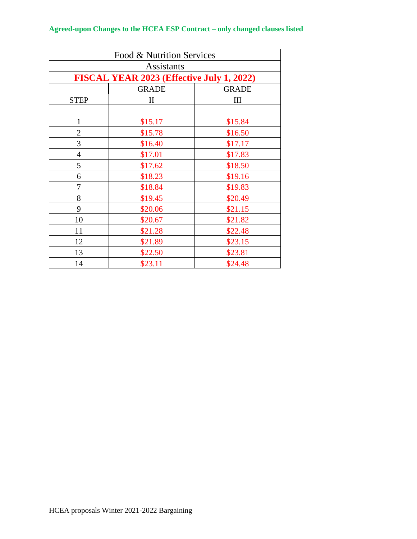| Food & Nutrition Services                 |              |         |  |  |  |  |  |
|-------------------------------------------|--------------|---------|--|--|--|--|--|
| <b>Assistants</b>                         |              |         |  |  |  |  |  |
| FISCAL YEAR 2023 (Effective July 1, 2022) |              |         |  |  |  |  |  |
| <b>GRADE</b><br><b>GRADE</b>              |              |         |  |  |  |  |  |
| <b>STEP</b>                               | $\mathbf{I}$ | Ш       |  |  |  |  |  |
|                                           |              |         |  |  |  |  |  |
| $\mathbf{1}$                              | \$15.17      | \$15.84 |  |  |  |  |  |
| $\overline{2}$                            | \$15.78      | \$16.50 |  |  |  |  |  |
| 3                                         | \$16.40      | \$17.17 |  |  |  |  |  |
| $\overline{4}$                            | \$17.01      | \$17.83 |  |  |  |  |  |
| 5                                         | \$17.62      | \$18.50 |  |  |  |  |  |
| 6                                         | \$18.23      | \$19.16 |  |  |  |  |  |
| 7                                         | \$18.84      | \$19.83 |  |  |  |  |  |
| 8                                         | \$19.45      | \$20.49 |  |  |  |  |  |
| 9                                         | \$20.06      | \$21.15 |  |  |  |  |  |
| 10                                        | \$20.67      | \$21.82 |  |  |  |  |  |
| 11                                        | \$21.28      | \$22.48 |  |  |  |  |  |
| 12                                        | \$21.89      | \$23.15 |  |  |  |  |  |
| 13                                        | \$22.50      | \$23.81 |  |  |  |  |  |
| 14                                        | \$23.11      | \$24.48 |  |  |  |  |  |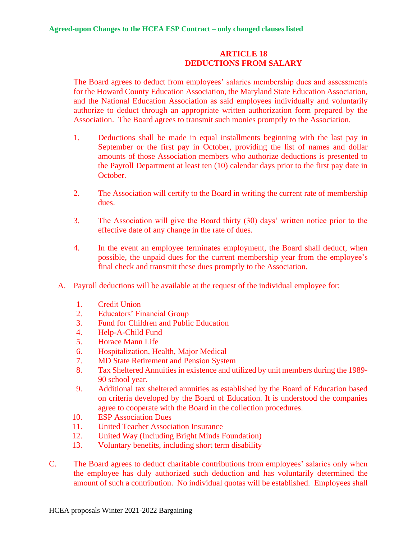### **ARTICLE 18 DEDUCTIONS FROM SALARY**

The Board agrees to deduct from employees' salaries membership dues and assessments for the Howard County Education Association, the Maryland State Education Association, and the National Education Association as said employees individually and voluntarily authorize to deduct through an appropriate written authorization form prepared by the Association. The Board agrees to transmit such monies promptly to the Association.

- 1. Deductions shall be made in equal installments beginning with the last pay in September or the first pay in October, providing the list of names and dollar amounts of those Association members who authorize deductions is presented to the Payroll Department at least ten (10) calendar days prior to the first pay date in October.
- 2. The Association will certify to the Board in writing the current rate of membership dues.
- 3. The Association will give the Board thirty (30) days' written notice prior to the effective date of any change in the rate of dues.
- 4. In the event an employee terminates employment, the Board shall deduct, when possible, the unpaid dues for the current membership year from the employee's final check and transmit these dues promptly to the Association.
- A. Payroll deductions will be available at the request of the individual employee for:
	- 1. Credit Union
	- 2. Educators' Financial Group
	- 3. Fund for Children and Public Education
	- 4. Help-A-Child Fund
	- 5. Horace Mann Life
	- 6. Hospitalization, Health, Major Medical
	- 7. MD State Retirement and Pension System
	- 8. Tax Sheltered Annuities in existence and utilized by unit members during the 1989- 90 school year.
	- 9. Additional tax sheltered annuities as established by the Board of Education based on criteria developed by the Board of Education. It is understood the companies agree to cooperate with the Board in the collection procedures.
	- 10. ESP Association Dues
	- 11. United Teacher Association Insurance
	- 12. United Way (Including Bright Minds Foundation)
	- 13. Voluntary benefits, including short term disability
- C. The Board agrees to deduct charitable contributions from employees' salaries only when the employee has duly authorized such deduction and has voluntarily determined the amount of such a contribution. No individual quotas will be established. Employees shall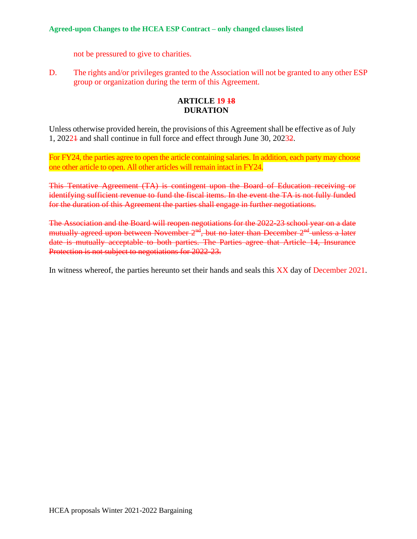not be pressured to give to charities.

D. The rights and/or privileges granted to the Association will not be granted to any other ESP group or organization during the term of this Agreement.

## **ARTICLE 19 18 DURATION**

Unless otherwise provided herein, the provisions of this Agreement shall be effective as of July 1, 20221 and shall continue in full force and effect through June 30, 20232.

For FY24, the parties agree to open the article containing salaries. In addition, each party may choose one other article to open. All other articles will remain intact in FY24.

This Tentative Agreement (TA) is contingent upon the Board of Education receiving or identifying sufficient revenue to fund the fiscal items. In the event the TA is not fully funded for the duration of this Agreement the parties shall engage in further negotiations.

The Association and the Board will reopen negotiations for the 2022-23 school year on a date mutually agreed upon between November  $2<sup>nd</sup>$ , but no later than December  $2<sup>nd</sup>$  unless a later date is mutually acceptable to both parties. The Parties agree that Article 14, Insurance Protection is not subject to negotiations for 2022-23.

In witness whereof, the parties hereunto set their hands and seals this XX day of December 2021.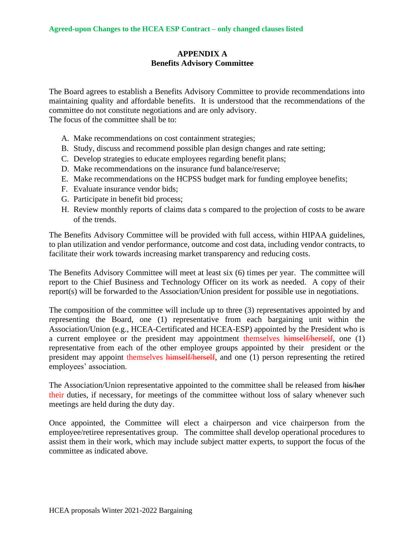## **APPENDIX A Benefits Advisory Committee**

The Board agrees to establish a Benefits Advisory Committee to provide recommendations into maintaining quality and affordable benefits. It is understood that the recommendations of the committee do not constitute negotiations and are only advisory. The focus of the committee shall be to:

- A. Make recommendations on cost containment strategies;
- B. Study, discuss and recommend possible plan design changes and rate setting;
- C. Develop strategies to educate employees regarding benefit plans;
- D. Make recommendations on the insurance fund balance/reserve;
- E. Make recommendations on the HCPSS budget mark for funding employee benefits;
- F. Evaluate insurance vendor bids;
- G. Participate in benefit bid process;
- H. Review monthly reports of claims data s compared to the projection of costs to be aware of the trends.

The Benefits Advisory Committee will be provided with full access, within HIPAA guidelines, to plan utilization and vendor performance, outcome and cost data, including vendor contracts, to facilitate their work towards increasing market transparency and reducing costs.

The Benefits Advisory Committee will meet at least six (6) times per year. The committee will report to the Chief Business and Technology Officer on its work as needed. A copy of their report(s) will be forwarded to the Association/Union president for possible use in negotiations.

The composition of the committee will include up to three (3) representatives appointed by and representing the Board, one (1) representative from each bargaining unit within the Association/Union (e.g., HCEA-Certificated and HCEA-ESP) appointed by the President who is a current employee or the president may appointment themselves himself/herself, one (1) representative from each of the other employee groups appointed by their president or the president may appoint themselves himself/herself, and one (1) person representing the retired employees' association.

The Association/Union representative appointed to the committee shall be released from his/her their duties, if necessary, for meetings of the committee without loss of salary whenever such meetings are held during the duty day.

Once appointed, the Committee will elect a chairperson and vice chairperson from the employee/retiree representatives group. The committee shall develop operational procedures to assist them in their work, which may include subject matter experts, to support the focus of the committee as indicated above.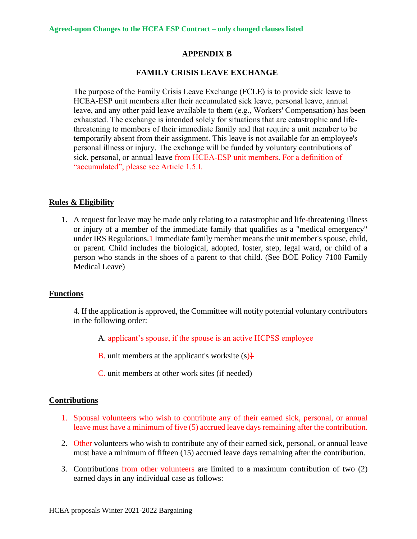#### **APPENDIX B**

#### **FAMILY CRISIS LEAVE EXCHANGE**

The purpose of the Family Crisis Leave Exchange (FCLE) is to provide sick leave to HCEA-ESP unit members after their accumulated sick leave, personal leave, annual leave, and any other paid leave available to them (e.g., Workers' Compensation) has been exhausted. The exchange is intended solely for situations that are catastrophic and lifethreatening to members of their immediate family and that require a unit member to be temporarily absent from their assignment. This leave is not available for an employee's personal illness or injury. The exchange will be funded by voluntary contributions of sick, personal, or annual leave from HCEA-ESP unit members. For a definition of "accumulated", please see Article 1.5.I.

#### **Rules & Eligibility**

1. A request for leave may be made only relating to a catastrophic and life-threatening illness or injury of a member of the immediate family that qualifies as a "medical emergency" under IRS Regulations.<sup>1</sup> Immediate family member means the unit member's spouse, child, or parent. Child includes the biological, adopted, foster, step, legal ward, or child of a person who stands in the shoes of a parent to that child. (See BOE Policy 7100 Family Medical Leave)

#### **Functions**

4. If the application is approved, the Committee will notify potential voluntary contributors in the following order:

- A. applicant's spouse, if the spouse is an active HCPSS employee
- **B.** unit members at the applicant's worksite  $(s)$
- C. unit members at other work sites (if needed)

#### **Contributions**

- 1. Spousal volunteers who wish to contribute any of their earned sick, personal, or annual leave must have a minimum of five (5) accrued leave days remaining after the contribution.
- 2. Other volunteers who wish to contribute any of their earned sick, personal, or annual leave must have a minimum of fifteen (15) accrued leave days remaining after the contribution.
- 3. Contributions from other volunteers are limited to a maximum contribution of two (2) earned days in any individual case as follows: